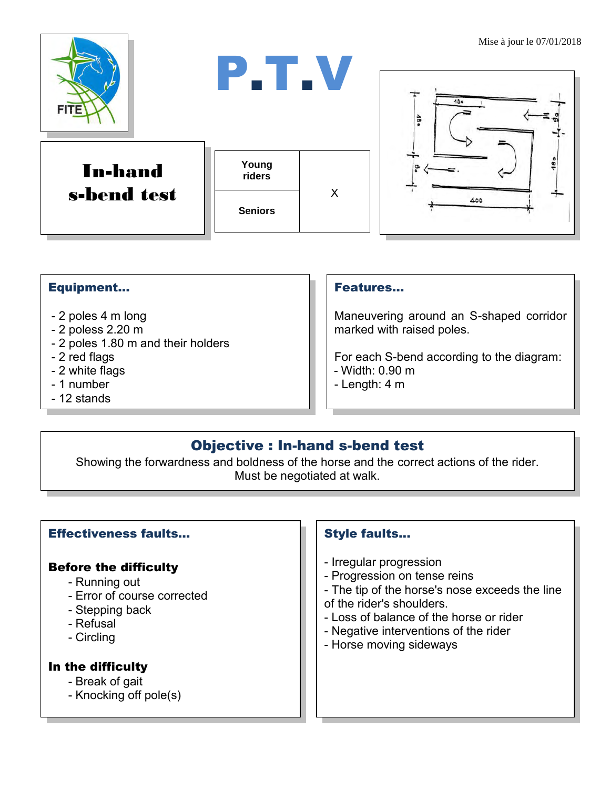

## Equipment...

- 2 poles 4 m long
- 2 poless 2.20 m
- 2 poles 1.80 m and their holders
- 2 red flags
- 2 white flags
- 1 number
- 12 stands

#### Features…

Maneuvering around an S-shaped corridor marked with raised poles.

For each S-bend according to the diagram: - Width: 0.90 m

- Length: 4 m

# Objective : In-hand s-bend test

Showing the forwardness and boldness of the horse and the correct actions of the rider. Must be negotiated at walk.

#### Effectiveness faults…

# Before the difficulty

- Running out
- Error of course corrected
- Stepping back
- Refusal
- Circling

#### In the difficulty

- Break of gait
- Knocking off pole(s)

### Style faults...

- Irregular progression
- Progression on tense reins
- The tip of the horse's nose exceeds the line of the rider's shoulders.
- Loss of balance of the horse or rider
- Negative interventions of the rider
- Horse moving sideways